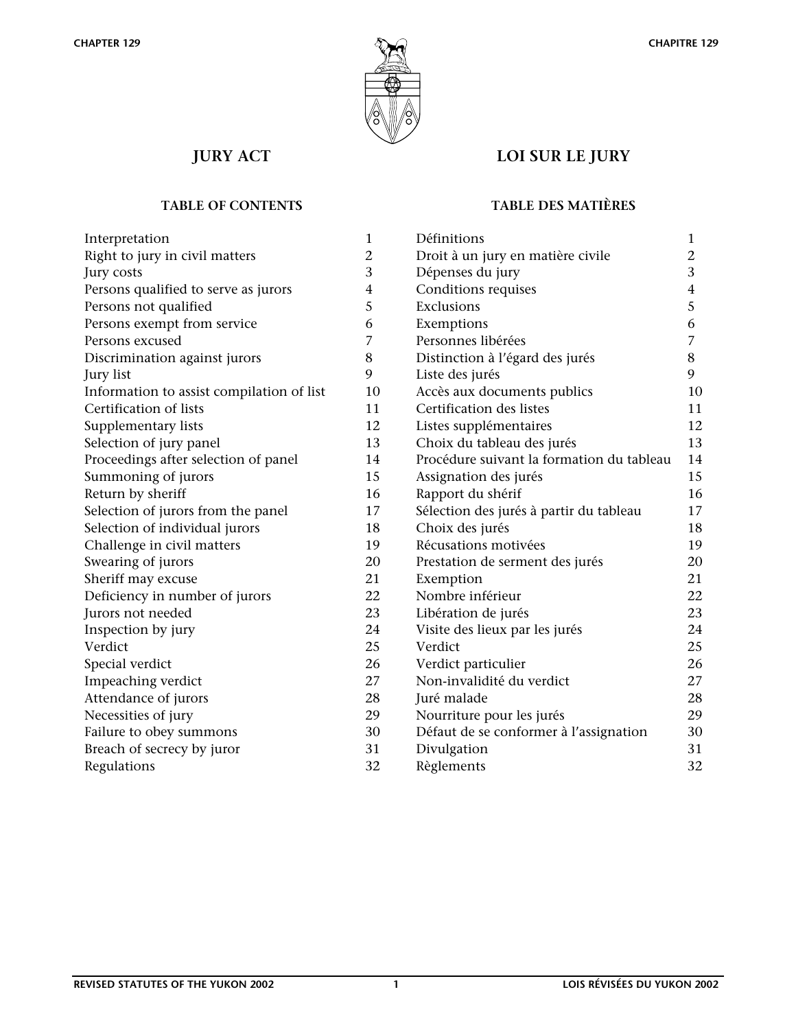



# **JURY ACT LOI SUR LE JURY**

| Interpretation                            | 1              |
|-------------------------------------------|----------------|
| Right to jury in civil matters            | 2              |
| Jury costs                                | 3              |
| Persons qualified to serve as jurors      | $\overline{4}$ |
| Persons not qualified                     | 5              |
| Persons exempt from service               | 6              |
| Persons excused                           | 7              |
| Discrimination against jurors             | 8              |
| Jury list                                 | 9              |
| Information to assist compilation of list | 10             |
| Certification of lists                    | 11             |
| Supplementary lists                       | 12             |
| Selection of jury panel                   | 13             |
| Proceedings after selection of panel      | 14             |
| Summoning of jurors                       | 15             |
| Return by sheriff                         | 16             |
| Selection of jurors from the panel        | 17             |
| Selection of individual jurors            | 18             |
| Challenge in civil matters                | 19             |
| Swearing of jurors                        | 20             |
| Sheriff may excuse                        | 21             |
| Deficiency in number of jurors            | 22             |
| Jurors not needed                         | 23             |
| Inspection by jury                        | 24             |
| Verdict                                   | 25             |
| Special verdict                           | 26             |
| Impeaching verdict                        | 27             |
| Attendance of jurors                      | 28             |
| Necessities of jury                       | 29             |
| Failure to obey summons                   | 30             |
| Breach of secrecy by juror                | 31             |
| Regulations                               | 32             |

# **TABLE OF CONTENTS TABLE DES MATIÈRES**

| Définitions                               | $\mathbf{1}$            |
|-------------------------------------------|-------------------------|
| Droit à un jury en matière civile         | 2                       |
| Dépenses du jury                          | 3                       |
| Conditions requises                       | $\overline{\mathbf{4}}$ |
| Exclusions                                | 5                       |
| Exemptions                                | 6                       |
| Personnes libérées                        | $\overline{7}$          |
| Distinction à l'égard des jurés           | 8                       |
| Liste des jurés                           | 9                       |
| Accès aux documents publics               | 10                      |
| Certification des listes                  | 11                      |
| Listes supplémentaires                    | 12                      |
| Choix du tableau des jurés                | 13                      |
| Procédure suivant la formation du tableau | 14                      |
| Assignation des jurés                     | 15                      |
| Rapport du shérif                         | 16                      |
| Sélection des jurés à partir du tableau   | 17                      |
| Choix des jurés                           | 18                      |
| Récusations motivées                      | 19                      |
| Prestation de serment des jurés           | 20                      |
| Exemption                                 | 21                      |
| Nombre inférieur                          | 22                      |
| Libération de jurés                       | 23                      |
| Visite des lieux par les jurés            | 24                      |
| Verdict                                   | 25                      |
| Verdict particulier                       | 26                      |
| Non-invalidité du verdict                 | 27                      |
| Juré malade                               | 28                      |
| Nourriture pour les jurés                 | 29                      |
| Défaut de se conformer à l'assignation    | 30                      |
| Divulgation                               | 31                      |
| Règlements                                | 32                      |
|                                           |                         |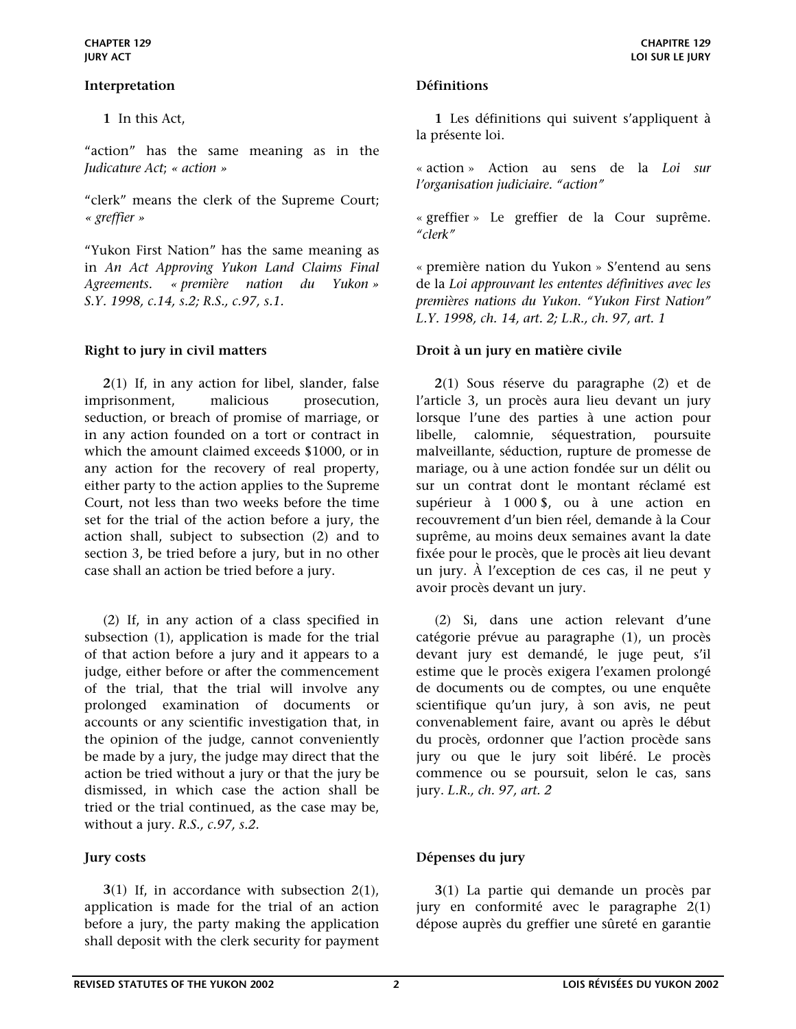### <span id="page-1-0"></span>**Interpretation Définitions**

 **1** In this Act,

"action" has the same meaning as in the *Judicature Act*; *« action »*

"clerk" means the clerk of the Supreme Court; *« greffier »* 

"Yukon First Nation" has the same meaning as in *An Act Approving Yukon Land Claims Final Agreements. « première nation du Yukon » S.Y. 1998, c.14, s.2; R.S., c.97, s.1.*

 **2**(1) If, in any action for libel, slander, false imprisonment, malicious prosecution, seduction, or breach of promise of marriage, or in any action founded on a tort or contract in which the amount claimed exceeds \$1000, or in any action for the recovery of real property, either party to the action applies to the Supreme Court, not less than two weeks before the time set for the trial of the action before a jury, the action shall, subject to subsection (2) and to section 3, be tried before a jury, but in no other case shall an action be tried before a jury.

 (2) If, in any action of a class specified in subsection (1), application is made for the trial of that action before a jury and it appears to a judge, either before or after the commencement of the trial, that the trial will involve any prolonged examination of documents or accounts or any scientific investigation that, in the opinion of the judge, cannot conveniently be made by a jury, the judge may direct that the action be tried without a jury or that the jury be dismissed, in which case the action shall be tried or the trial continued, as the case may be, without a jury. *R.S., c.97, s.2.*

 **3**(1) If, in accordance with subsection 2(1), application is made for the trial of an action before a jury, the party making the application shall deposit with the clerk security for payment

 **1** Les définitions qui suivent s'appliquent à la présente loi.

**CHAPITRE 129 LOI SUR LE JURY** 

« action » Action au sens de la *Loi sur l'organisation judiciaire. "action"*

« greffier » Le greffier de la Cour suprême. *"clerk"* 

« première nation du Yukon » S'entend au sens de la *Loi approuvant les ententes définitives avec les premières nations du Yukon*. *"Yukon First Nation" L.Y. 1998, ch. 14, art. 2; L.R., ch. 97, art. 1*

### <span id="page-1-1"></span>Right to jury in civil matters **Droit à un jury en matière civile**

**2**(1) Sous réserve du paragraphe (2) et de l'article 3, un procès aura lieu devant un jury lorsque l'une des parties à une action pour libelle, calomnie, séquestration, poursuite malveillante, séduction, rupture de promesse de mariage, ou à une action fondée sur un délit ou sur un contrat dont le montant réclamé est supérieur à 1 000 \$, ou à une action en recouvrement d'un bien réel, demande à la Cour suprême, au moins deux semaines avant la date fixée pour le procès, que le procès ait lieu devant un jury. À l'exception de ces cas, il ne peut y avoir procès devant un jury.

 (2) Si, dans une action relevant d'une catégorie prévue au paragraphe (1), un procès devant jury est demandé, le juge peut, s'il estime que le procès exigera l'examen prolongé de documents ou de comptes, ou une enquête scientifique qu'un jury, à son avis, ne peut convenablement faire, avant ou après le début du procès, ordonner que l'action procède sans jury ou que le jury soit libéré. Le procès commence ou se poursuit, selon le cas, sans jury. *L.R., ch. 97, art. 2*

# <span id="page-1-2"></span>**Jury costs Dépenses du jury**

**3**(1) La partie qui demande un procès par jury en conformité avec le paragraphe 2(1) dépose auprès du greffier une sûreté en garantie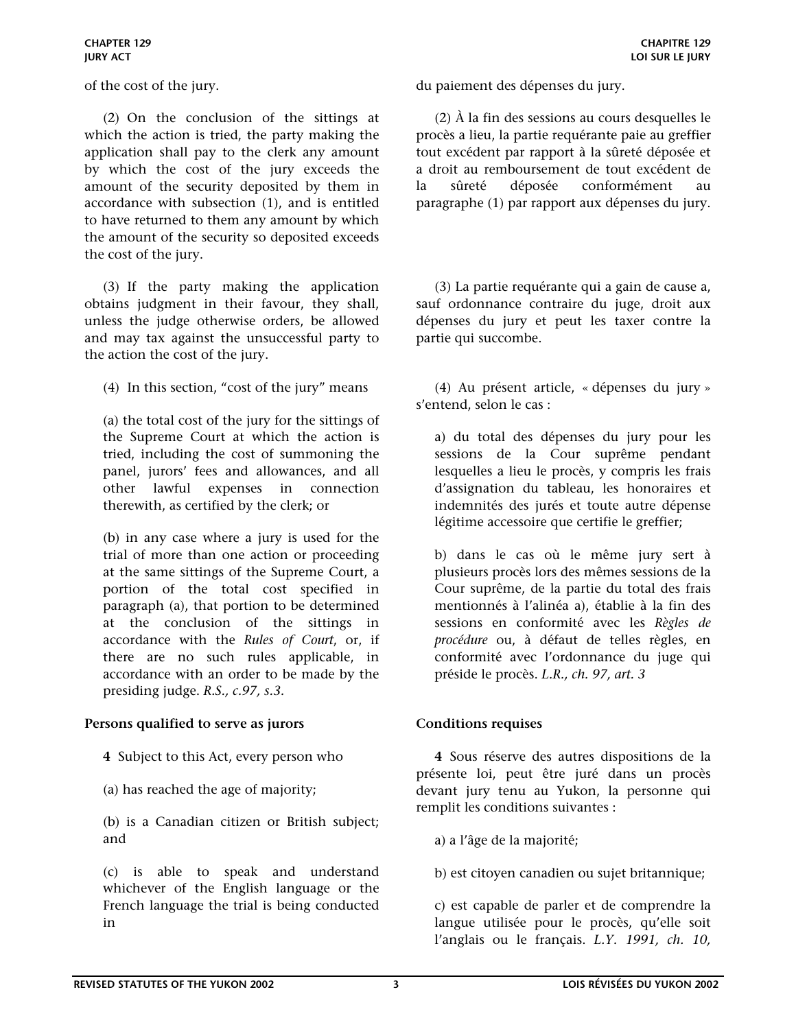(2) On the conclusion of the sittings at which the action is tried, the party making the application shall pay to the clerk any amount by which the cost of the jury exceeds the amount of the security deposited by them in accordance with subsection (1), and is entitled to have returned to them any amount by which the amount of the security so deposited exceeds the cost of the jury.

 (3) If the party making the application obtains judgment in their favour, they shall, unless the judge otherwise orders, be allowed and may tax against the unsuccessful party to the action the cost of the jury.

(4) In this section, "cost of the jury" means

(a) the total cost of the jury for the sittings of the Supreme Court at which the action is tried, including the cost of summoning the panel, jurors' fees and allowances, and all other lawful expenses in connection therewith, as certified by the clerk; or

(b) in any case where a jury is used for the trial of more than one action or proceeding at the same sittings of the Supreme Court, a portion of the total cost specified in paragraph (a), that portion to be determined at the conclusion of the sittings in accordance with the *Rules of Court*, or, if there are no such rules applicable, in accordance with an order to be made by the presiding judge. *R.S., c.97, s.3.*

### <span id="page-2-0"></span>**Persons qualified to serve as jurors Conditions requises**

- **4** Subject to this Act, every person who
- (a) has reached the age of majority;

(b) is a Canadian citizen or British subject; and

(c) is able to speak and understand whichever of the English language or the French language the trial is being conducted in

of the cost of the jury. du paiement des dépenses du jury.

 (2) À la fin des sessions au cours desquelles le procès a lieu, la partie requérante paie au greffier tout excédent par rapport à la sûreté déposée et a droit au remboursement de tout excédent de la sûreté déposée conformément au paragraphe (1) par rapport aux dépenses du jury.

 (3) La partie requérante qui a gain de cause a, sauf ordonnance contraire du juge, droit aux dépenses du jury et peut les taxer contre la partie qui succombe.

 (4) Au présent article, « dépenses du jury » s'entend, selon le cas :

a) du total des dépenses du jury pour les sessions de la Cour suprême pendant lesquelles a lieu le procès, y compris les frais d'assignation du tableau, les honoraires et indemnités des jurés et toute autre dépense légitime accessoire que certifie le greffier;

b) dans le cas où le même jury sert à plusieurs procès lors des mêmes sessions de la Cour suprême, de la partie du total des frais mentionnés à l'alinéa a), établie à la fin des sessions en conformité avec les *Règles de procédure* ou, à défaut de telles règles, en conformité avec l'ordonnance du juge qui préside le procès. *L.R., ch. 97, art. 3*

**4** Sous réserve des autres dispositions de la présente loi, peut être juré dans un procès devant jury tenu au Yukon, la personne qui remplit les conditions suivantes :

- a) a l'âge de la majorité;
- b) est citoyen canadien ou sujet britannique;

c) est capable de parler et de comprendre la langue utilisée pour le procès, qu'elle soit l'anglais ou le français. *L.Y. 1991, ch. 10,*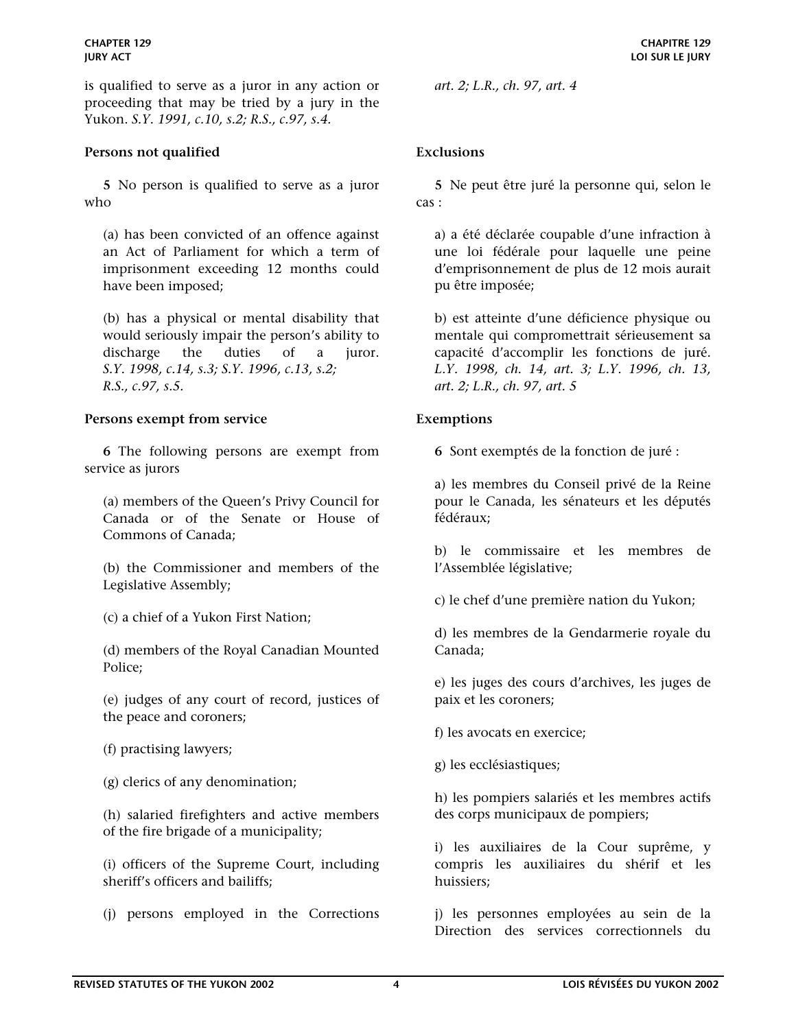is qualified to serve as a juror in any action or proceeding that may be tried by a jury in the Yukon. *S.Y. 1991, c.10, s.2; R.S., c.97, s.4.* 

### <span id="page-3-0"></span>**Persons not qualified Exclusions**

 **5** No person is qualified to serve as a juror who

(a) has been convicted of an offence against an Act of Parliament for which a term of imprisonment exceeding 12 months could have been imposed;

(b) has a physical or mental disability that would seriously impair the person's ability to discharge the duties of a juror. *S.Y. 1998, c.14, s.3; S.Y. 1996, c.13, s.2; R.S., c.97, s.5.* 

# <span id="page-3-1"></span>**Persons exempt from service Exemptions**

 **6** The following persons are exempt from service as jurors

(a) members of the Queen's Privy Council for Canada or of the Senate or House of Commons of Canada;

(b) the Commissioner and members of the Legislative Assembly;

(c) a chief of a Yukon First Nation;

(d) members of the Royal Canadian Mounted Police;

(e) judges of any court of record, justices of the peace and coroners;

(f) practising lawyers;

(g) clerics of any denomination;

(h) salaried firefighters and active members of the fire brigade of a municipality;

(i) officers of the Supreme Court, including sheriff's officers and bailiffs;

(j) persons employed in the Corrections

*art. 2; L.R., ch. 97, art. 4*

**5** Ne peut être juré la personne qui, selon le cas :

a) a été déclarée coupable d'une infraction à une loi fédérale pour laquelle une peine d'emprisonnement de plus de 12 mois aurait pu être imposée;

b) est atteinte d'une déficience physique ou mentale qui compromettrait sérieusement sa capacité d'accomplir les fonctions de juré. *L.Y. 1998, ch. 14, art. 3; L.Y. 1996, ch. 13, art. 2; L.R., ch. 97, art. 5*

**6** Sont exemptés de la fonction de juré :

a) les membres du Conseil privé de la Reine pour le Canada, les sénateurs et les députés fédéraux;

b) le commissaire et les membres de l'Assemblée législative;

c) le chef d'une première nation du Yukon;

d) les membres de la Gendarmerie royale du Canada;

e) les juges des cours d'archives, les juges de paix et les coroners;

f) les avocats en exercice;

g) les ecclésiastiques;

h) les pompiers salariés et les membres actifs des corps municipaux de pompiers;

i) les auxiliaires de la Cour suprême, y compris les auxiliaires du shérif et les huissiers;

j) les personnes employées au sein de la Direction des services correctionnels du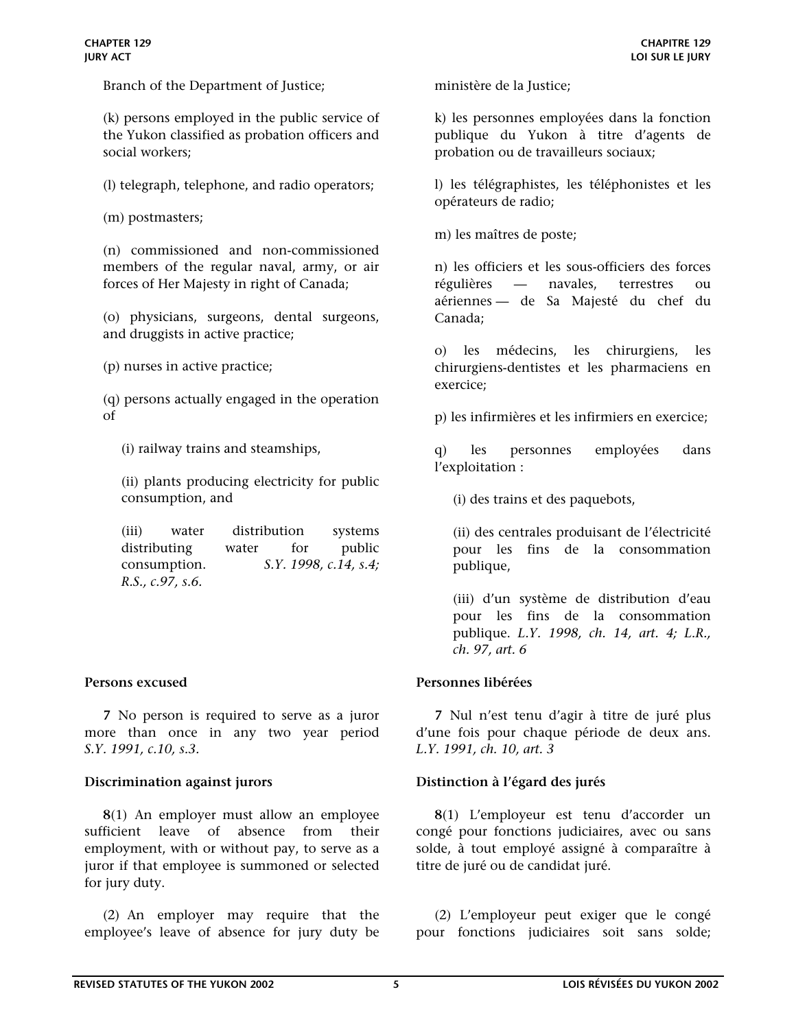Branch of the Department of Justice;

(k) persons employed in the public service of the Yukon classified as probation officers and social workers;

(l) telegraph, telephone, and radio operators;

(m) postmasters;

(n) commissioned and non-commissioned members of the regular naval, army, or air forces of Her Majesty in right of Canada;

(o) physicians, surgeons, dental surgeons, and druggists in active practice;

(p) nurses in active practice;

(q) persons actually engaged in the operation of

(i) railway trains and steamships,

(ii) plants producing electricity for public consumption, and

(iii) water distribution systems distributing water for public consumption. *S.Y. 1998, c.14, s.4; R.S., c.97, s.6.* 

 **7** No person is required to serve as a juror more than once in any two year period *S.Y. 1991, c.10, s.3.*

 **8**(1) An employer must allow an employee sufficient leave of absence from their employment, with or without pay, to serve as a juror if that employee is summoned or selected for jury duty.

 (2) An employer may require that the employee's leave of absence for jury duty be ministère de la Justice;

k) les personnes employées dans la fonction publique du Yukon à titre d'agents de probation ou de travailleurs sociaux;

l) les télégraphistes, les téléphonistes et les opérateurs de radio;

m) les maîtres de poste;

n) les officiers et les sous-officiers des forces régulières — navales, terrestres ou aériennes — de Sa Majesté du chef du Canada;

o) les médecins, les chirurgiens, les chirurgiens-dentistes et les pharmaciens en exercice;

p) les infirmières et les infirmiers en exercice;

q) les personnes employées dans l'exploitation :

(i) des trains et des paquebots,

(ii) des centrales produisant de l'électricité pour les fins de la consommation publique,

(iii) d'un système de distribution d'eau pour les fins de la consommation publique. *L.Y. 1998, ch. 14, art. 4; L.R., ch. 97, art. 6*

### <span id="page-4-0"></span>**Persons excused Personnes libérées**

**7** Nul n'est tenu d'agir à titre de juré plus d'une fois pour chaque période de deux ans. *L.Y. 1991, ch. 10, art. 3* 

### <span id="page-4-1"></span>**Discrimination against jurors Distinction à l'égard des jurés**

 **8**(1) L'employeur est tenu d'accorder un congé pour fonctions judiciaires, avec ou sans solde, à tout employé assigné à comparaître à titre de juré ou de candidat juré.

 (2) L'employeur peut exiger que le congé pour fonctions judiciaires soit sans solde;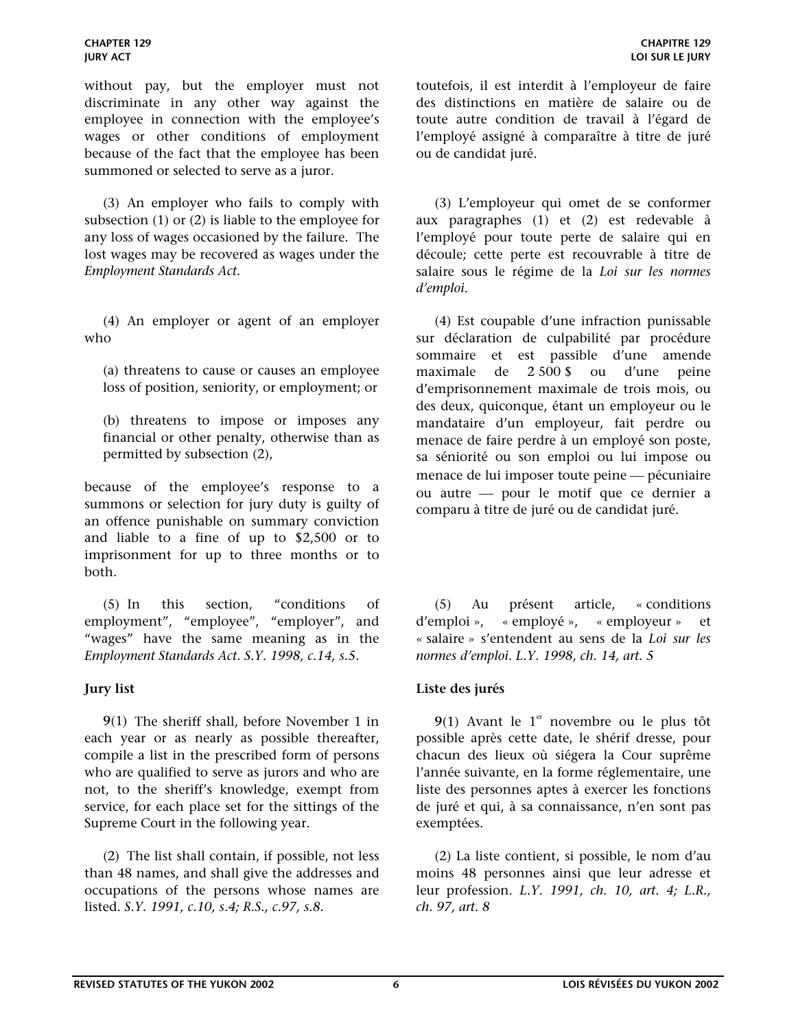without pay, but the employer must not discriminate in any other way against the employee in connection with the employee's wages or other conditions of employment because of the fact that the employee has been summoned or selected to serve as a juror.

 (3) An employer who fails to comply with subsection (1) or (2) is liable to the employee for any loss of wages occasioned by the failure. The lost wages may be recovered as wages under the *Employment Standards Act.*

 (4) An employer or agent of an employer who

(a) threatens to cause or causes an employee loss of position, seniority, or employment; or

(b) threatens to impose or imposes any financial or other penalty, otherwise than as permitted by subsection (2),

because of the employee's response to a summons or selection for jury duty is guilty of an offence punishable on summary conviction and liable to a fine of up to \$2,500 or to imprisonment for up to three months or to both.

 (5) In this section, "conditions of employment", "employee", "employer", and "wages" have the same meaning as in the *Employment Standards Act. S.Y. 1998, c.14, s.5.*

 **9**(1) The sheriff shall, before November 1 in each year or as nearly as possible thereafter, compile a list in the prescribed form of persons who are qualified to serve as jurors and who are not, to the sheriff's knowledge, exempt from service, for each place set for the sittings of the Supreme Court in the following year.

 (2) The list shall contain, if possible, not less than 48 names, and shall give the addresses and occupations of the persons whose names are listed. *S.Y. 1991, c.10, s.4; R.S., c.97, s.8.* 

toutefois, il est interdit à l'employeur de faire des distinctions en matière de salaire ou de toute autre condition de travail à l'égard de l'employé assigné à comparaître à titre de juré ou de candidat juré.

 (3) L'employeur qui omet de se conformer aux paragraphes (1) et (2) est redevable à l'employé pour toute perte de salaire qui en découle; cette perte est recouvrable à titre de salaire sous le régime de la *Loi sur les normes d'emploi*.

 (4) Est coupable d'une infraction punissable sur déclaration de culpabilité par procédure sommaire et est passible d'une amende maximale de 2 500 \$ ou d'une peine d'emprisonnement maximale de trois mois, ou des deux, quiconque, étant un employeur ou le mandataire d'un employeur, fait perdre ou menace de faire perdre à un employé son poste, sa séniorité ou son emploi ou lui impose ou menace de lui imposer toute peine — pécuniaire ou autre pour le motif que ce dernier a comparu à titre de juré ou de candidat juré.

 (5) Au présent article, « conditions d'emploi », « employé », « employeur » et « salaire » s'entendent au sens de la *Loi sur les normes d'emploi*. *L.Y. 1998, ch. 14, art. 5* 

### <span id="page-5-0"></span>**Jury list Liste des jurés**

**9**(1) Avant le 1<sup>er</sup> novembre ou le plus tôt possible après cette date, le shérif dresse, pour chacun des lieux où siégera la Cour suprême l'année suivante, en la forme réglementaire, une liste des personnes aptes à exercer les fonctions de juré et qui, à sa connaissance, n'en sont pas exemptées.

 (2) La liste contient, si possible, le nom d'au moins 48 personnes ainsi que leur adresse et leur profession. *L.Y. 1991, ch. 10, art. 4; L.R., ch. 97, art. 8*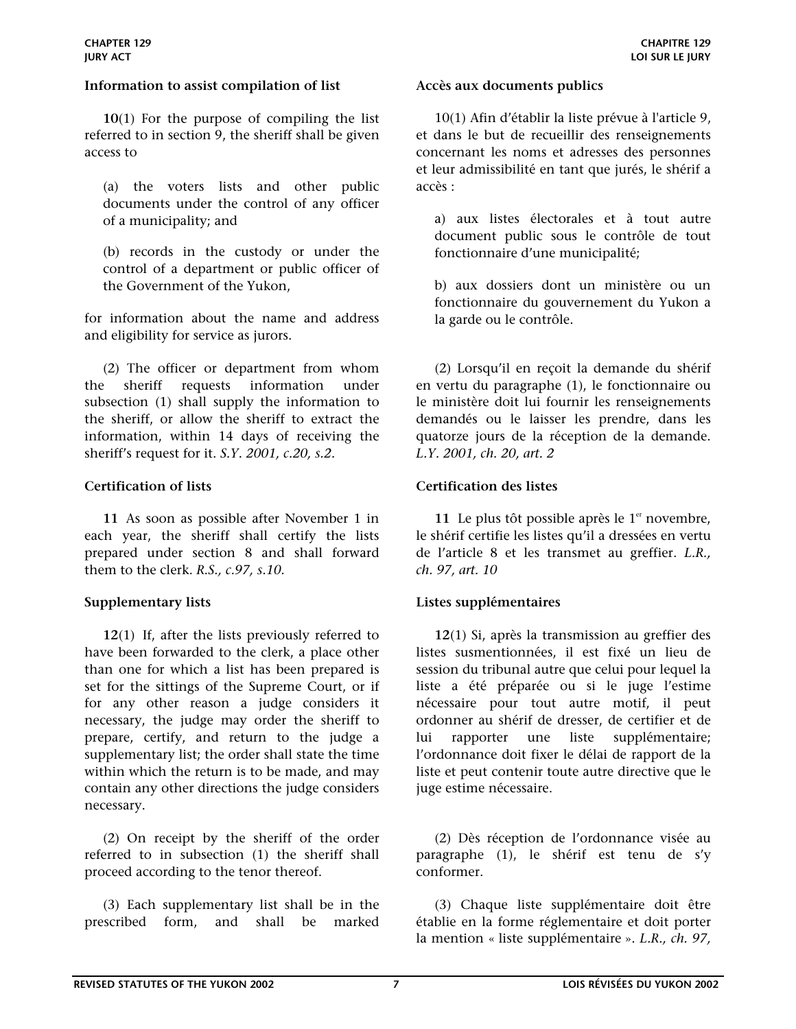### <span id="page-6-0"></span>**Information to assist compilation of list Accès aux documents publics**

 **10**(1) For the purpose of compiling the list referred to in section 9, the sheriff shall be given access to

(a) the voters lists and other public documents under the control of any officer of a municipality; and

(b) records in the custody or under the control of a department or public officer of the Government of the Yukon,

for information about the name and address and eligibility for service as jurors.

(2) The officer or department from whom the sheriff requests information under subsection (1) shall supply the information to the sheriff, or allow the sheriff to extract the information, within 14 days of receiving the sheriff's request for it. *S.Y. 2001, c.20, s.2.*

 **11** As soon as possible after November 1 in each year, the sheriff shall certify the lists prepared under section 8 and shall forward them to the clerk. *R.S., c.97, s.10.*

 **12**(1) If, after the lists previously referred to have been forwarded to the clerk, a place other than one for which a list has been prepared is set for the sittings of the Supreme Court, or if for any other reason a judge considers it necessary, the judge may order the sheriff to prepare, certify, and return to the judge a supplementary list; the order shall state the time within which the return is to be made, and may contain any other directions the judge considers necessary.

 (2) On receipt by the sheriff of the order referred to in subsection (1) the sheriff shall proceed according to the tenor thereof.

 (3) Each supplementary list shall be in the prescribed form, and shall be marked

 10(1) Afin d'établir la liste prévue à l'article 9, et dans le but de recueillir des renseignements concernant les noms et adresses des personnes et leur admissibilité en tant que jurés, le shérif a accès :

a) aux listes électorales et à tout autre document public sous le contrôle de tout fonctionnaire d'une municipalité;

b) aux dossiers dont un ministère ou un fonctionnaire du gouvernement du Yukon a la garde ou le contrôle.

 (2) Lorsqu'il en reçoit la demande du shérif en vertu du paragraphe (1), le fonctionnaire ou le ministère doit lui fournir les renseignements demandés ou le laisser les prendre, dans les quatorze jours de la réception de la demande. *L.Y. 2001, ch. 20, art. 2* 

# <span id="page-6-1"></span>**Certification of lists Certification des listes**

11 Le plus tôt possible après le  $1<sup>er</sup>$  novembre, le shérif certifie les listes qu'il a dressées en vertu de l'article 8 et les transmet au greffier. *L.R., ch. 97, art. 10*

### <span id="page-6-2"></span>**Supplementary lists Listes supplémentaires**

**12**(1) Si, après la transmission au greffier des listes susmentionnées, il est fixé un lieu de session du tribunal autre que celui pour lequel la liste a été préparée ou si le juge l'estime nécessaire pour tout autre motif, il peut ordonner au shérif de dresser, de certifier et de lui rapporter une liste supplémentaire; l'ordonnance doit fixer le délai de rapport de la liste et peut contenir toute autre directive que le juge estime nécessaire.

 (2) Dès réception de l'ordonnance visée au paragraphe (1), le shérif est tenu de s'y conformer.

 (3) Chaque liste supplémentaire doit être établie en la forme réglementaire et doit porter la mention « liste supplémentaire ». *L.R., ch. 97,*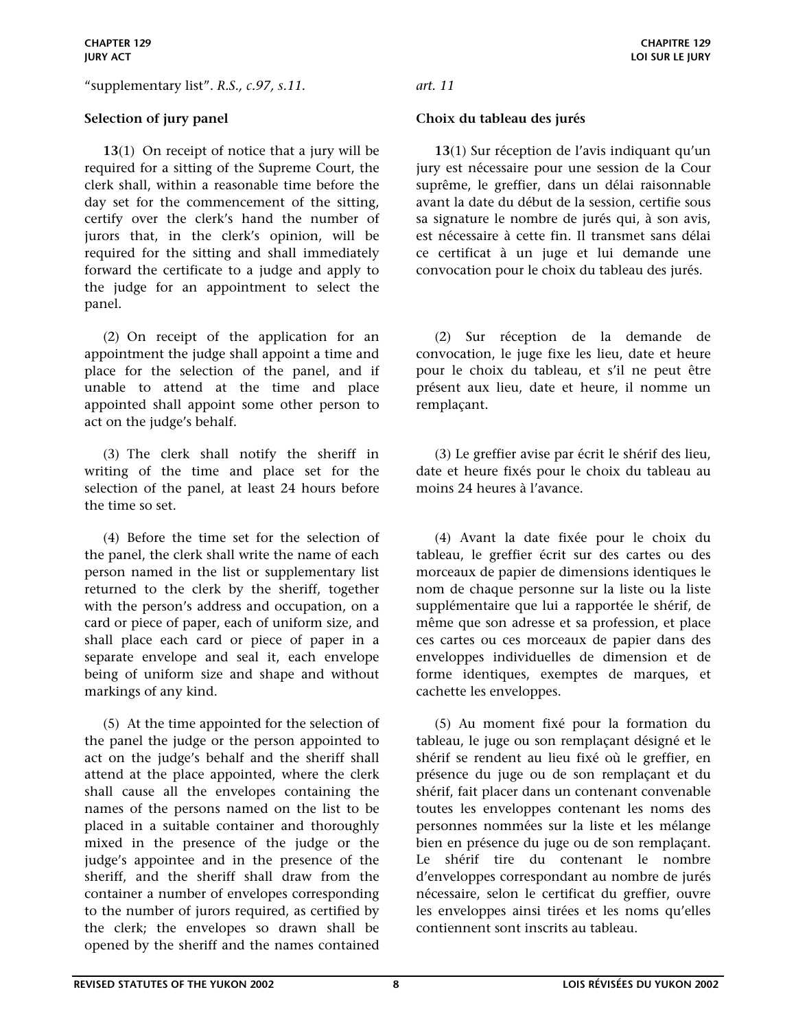"supplementary list". *R.S., c.97, s.11. art. 11*

 **13**(1) On receipt of notice that a jury will be required for a sitting of the Supreme Court, the clerk shall, within a reasonable time before the day set for the commencement of the sitting, certify over the clerk's hand the number of jurors that, in the clerk's opinion, will be required for the sitting and shall immediately forward the certificate to a judge and apply to the judge for an appointment to select the panel.

 (2) On receipt of the application for an appointment the judge shall appoint a time and place for the selection of the panel, and if unable to attend at the time and place appointed shall appoint some other person to act on the judge's behalf.

 (3) The clerk shall notify the sheriff in writing of the time and place set for the selection of the panel, at least 24 hours before the time so set.

 (4) Before the time set for the selection of the panel, the clerk shall write the name of each person named in the list or supplementary list returned to the clerk by the sheriff, together with the person's address and occupation, on a card or piece of paper, each of uniform size, and shall place each card or piece of paper in a separate envelope and seal it, each envelope being of uniform size and shape and without markings of any kind.

 (5) At the time appointed for the selection of the panel the judge or the person appointed to act on the judge's behalf and the sheriff shall attend at the place appointed, where the clerk shall cause all the envelopes containing the names of the persons named on the list to be placed in a suitable container and thoroughly mixed in the presence of the judge or the judge's appointee and in the presence of the sheriff, and the sheriff shall draw from the container a number of envelopes corresponding to the number of jurors required, as certified by the clerk; the envelopes so drawn shall be opened by the sheriff and the names contained

# <span id="page-7-0"></span>**Selection of jury panel Choix du tableau des jurés**

**13**(1) Sur réception de l'avis indiquant qu'un jury est nécessaire pour une session de la Cour suprême, le greffier, dans un délai raisonnable avant la date du début de la session, certifie sous sa signature le nombre de jurés qui, à son avis, est nécessaire à cette fin. Il transmet sans délai ce certificat à un juge et lui demande une convocation pour le choix du tableau des jurés.

 (2) Sur réception de la demande de convocation, le juge fixe les lieu, date et heure pour le choix du tableau, et s'il ne peut être présent aux lieu, date et heure, il nomme un remplaçant.

 (3) Le greffier avise par écrit le shérif des lieu, date et heure fixés pour le choix du tableau au moins 24 heures à l'avance.

 (4) Avant la date fixée pour le choix du tableau, le greffier écrit sur des cartes ou des morceaux de papier de dimensions identiques le nom de chaque personne sur la liste ou la liste supplémentaire que lui a rapportée le shérif, de même que son adresse et sa profession, et place ces cartes ou ces morceaux de papier dans des enveloppes individuelles de dimension et de forme identiques, exemptes de marques, et cachette les enveloppes.

 (5) Au moment fixé pour la formation du tableau, le juge ou son remplaçant désigné et le shérif se rendent au lieu fixé où le greffier, en présence du juge ou de son remplaçant et du shérif, fait placer dans un contenant convenable toutes les enveloppes contenant les noms des personnes nommées sur la liste et les mélange bien en présence du juge ou de son remplaçant. Le shérif tire du contenant le nombre d'enveloppes correspondant au nombre de jurés nécessaire, selon le certificat du greffier, ouvre les enveloppes ainsi tirées et les noms qu'elles contiennent sont inscrits au tableau.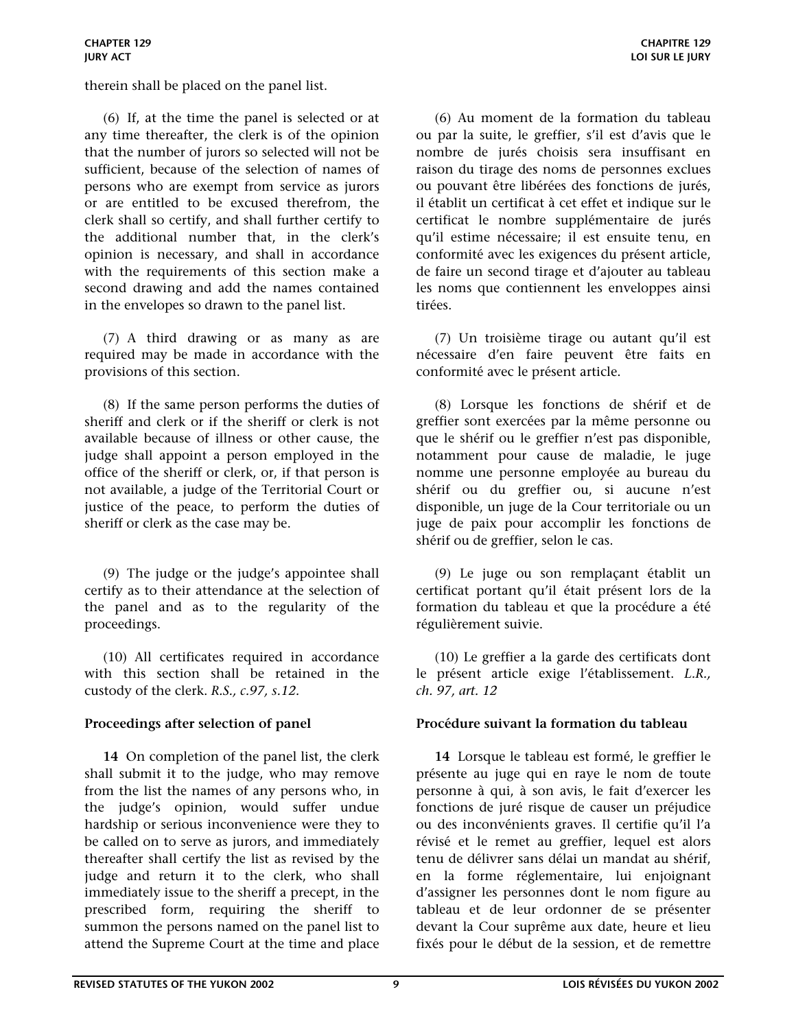therein shall be placed on the panel list.

 (6) If, at the time the panel is selected or at any time thereafter, the clerk is of the opinion that the number of jurors so selected will not be sufficient, because of the selection of names of persons who are exempt from service as jurors or are entitled to be excused therefrom, the clerk shall so certify, and shall further certify to the additional number that, in the clerk's opinion is necessary, and shall in accordance with the requirements of this section make a second drawing and add the names contained in the envelopes so drawn to the panel list.

 (7) A third drawing or as many as are required may be made in accordance with the provisions of this section.

 (8) If the same person performs the duties of sheriff and clerk or if the sheriff or clerk is not available because of illness or other cause, the judge shall appoint a person employed in the office of the sheriff or clerk, or, if that person is not available, a judge of the Territorial Court or justice of the peace, to perform the duties of sheriff or clerk as the case may be.

 (9) The judge or the judge's appointee shall certify as to their attendance at the selection of the panel and as to the regularity of the proceedings.

 (10) All certificates required in accordance with this section shall be retained in the custody of the clerk. *R.S., c.97, s.12.*

 **14** On completion of the panel list, the clerk shall submit it to the judge, who may remove from the list the names of any persons who, in the judge's opinion, would suffer undue hardship or serious inconvenience were they to be called on to serve as jurors, and immediately thereafter shall certify the list as revised by the judge and return it to the clerk, who shall immediately issue to the sheriff a precept, in the prescribed form, requiring the sheriff to summon the persons named on the panel list to attend the Supreme Court at the time and place

 (6) Au moment de la formation du tableau ou par la suite, le greffier, s'il est d'avis que le nombre de jurés choisis sera insuffisant en raison du tirage des noms de personnes exclues ou pouvant être libérées des fonctions de jurés, il établit un certificat à cet effet et indique sur le certificat le nombre supplémentaire de jurés qu'il estime nécessaire; il est ensuite tenu, en conformité avec les exigences du présent article, de faire un second tirage et d'ajouter au tableau les noms que contiennent les enveloppes ainsi tirées.

 (7) Un troisième tirage ou autant qu'il est nécessaire d'en faire peuvent être faits en conformité avec le présent article.

 (8) Lorsque les fonctions de shérif et de greffier sont exercées par la même personne ou que le shérif ou le greffier n'est pas disponible, notamment pour cause de maladie, le juge nomme une personne employée au bureau du shérif ou du greffier ou, si aucune n'est disponible, un juge de la Cour territoriale ou un juge de paix pour accomplir les fonctions de shérif ou de greffier, selon le cas.

 (9) Le juge ou son remplaçant établit un certificat portant qu'il était présent lors de la formation du tableau et que la procédure a été régulièrement suivie.

 (10) Le greffier a la garde des certificats dont le présent article exige l'établissement. *L.R., ch. 97, art. 12*

# <span id="page-8-0"></span>**Proceedings after selection of panel Procédure suivant la formation du tableau**

**14** Lorsque le tableau est formé, le greffier le présente au juge qui en raye le nom de toute personne à qui, à son avis, le fait d'exercer les fonctions de juré risque de causer un préjudice ou des inconvénients graves. Il certifie qu'il l'a révisé et le remet au greffier, lequel est alors tenu de délivrer sans délai un mandat au shérif, en la forme réglementaire, lui enjoignant d'assigner les personnes dont le nom figure au tableau et de leur ordonner de se présenter devant la Cour suprême aux date, heure et lieu fixés pour le début de la session, et de remettre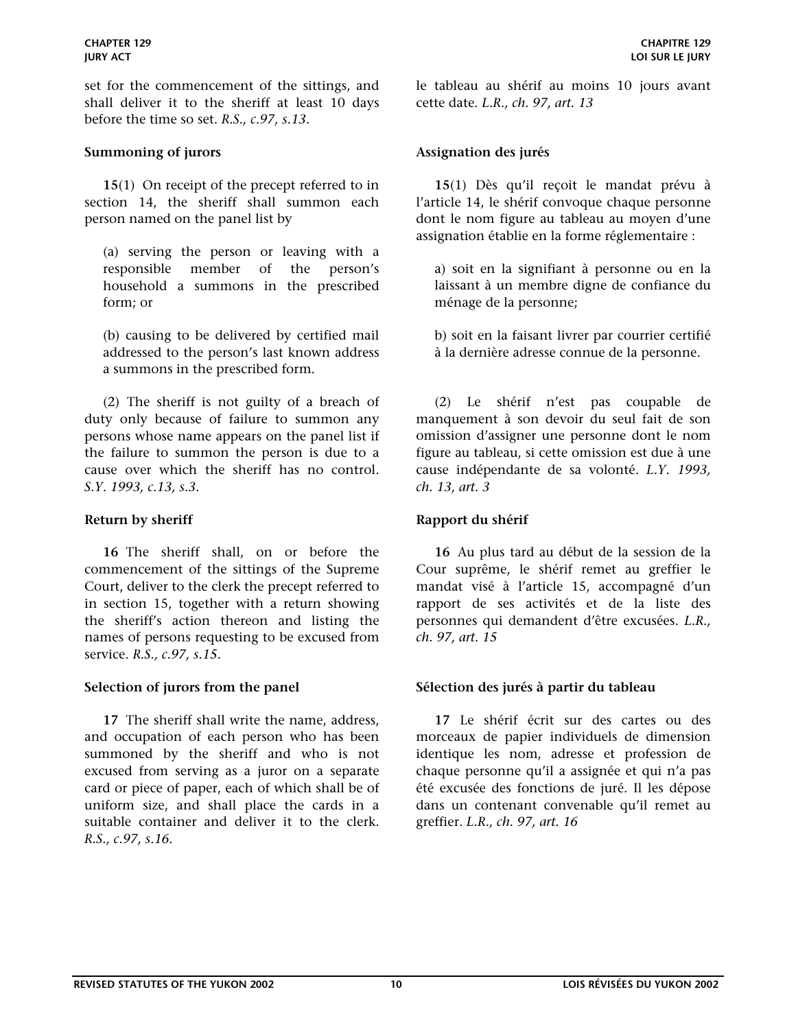set for the commencement of the sittings, and shall deliver it to the sheriff at least 10 days before the time so set. *R.S., c.97, s.13.*

### <span id="page-9-0"></span>**Summoning of jurors Assignation des jurés**

 **15**(1) On receipt of the precept referred to in section 14, the sheriff shall summon each person named on the panel list by

(a) serving the person or leaving with a responsible member of the person's household a summons in the prescribed form; or

(b) causing to be delivered by certified mail addressed to the person's last known address a summons in the prescribed form.

 (2) The sheriff is not guilty of a breach of duty only because of failure to summon any persons whose name appears on the panel list if the failure to summon the person is due to a cause over which the sheriff has no control. *S.Y. 1993, c.13, s.3.* 

 **16** The sheriff shall, on or before the commencement of the sittings of the Supreme Court, deliver to the clerk the precept referred to in section 15, together with a return showing the sheriff's action thereon and listing the names of persons requesting to be excused from service. *R.S., c.97, s.15.*

 **17** The sheriff shall write the name, address, and occupation of each person who has been summoned by the sheriff and who is not excused from serving as a juror on a separate card or piece of paper, each of which shall be of uniform size, and shall place the cards in a suitable container and deliver it to the clerk. *R.S., c.97, s.16.*

le tableau au shérif au moins 10 jours avant cette date. *L.R., ch. 97, art. 13*

**15**(1) Dès qu'il reçoit le mandat prévu à l'article 14, le shérif convoque chaque personne dont le nom figure au tableau au moyen d'une assignation établie en la forme réglementaire :

a) soit en la signifiant à personne ou en la laissant à un membre digne de confiance du ménage de la personne;

b) soit en la faisant livrer par courrier certifié à la dernière adresse connue de la personne.

 (2) Le shérif n'est pas coupable de manquement à son devoir du seul fait de son omission d'assigner une personne dont le nom figure au tableau, si cette omission est due à une cause indépendante de sa volonté. *L.Y. 1993, ch. 13, art. 3* 

# <span id="page-9-1"></span>**Return by sheriff Rapport du shérif Rapport du shérif**

**16** Au plus tard au début de la session de la Cour suprême, le shérif remet au greffier le mandat visé à l'article 15, accompagné d'un rapport de ses activités et de la liste des personnes qui demandent d'être excusées. *L.R., ch. 97, art. 15*

### <span id="page-9-2"></span>**Selection of jurors from the panel Sélection des jurés à partir du tableau**

**17** Le shérif écrit sur des cartes ou des morceaux de papier individuels de dimension identique les nom, adresse et profession de chaque personne qu'il a assignée et qui n'a pas été excusée des fonctions de juré. Il les dépose dans un contenant convenable qu'il remet au greffier. *L.R., ch. 97, art. 16*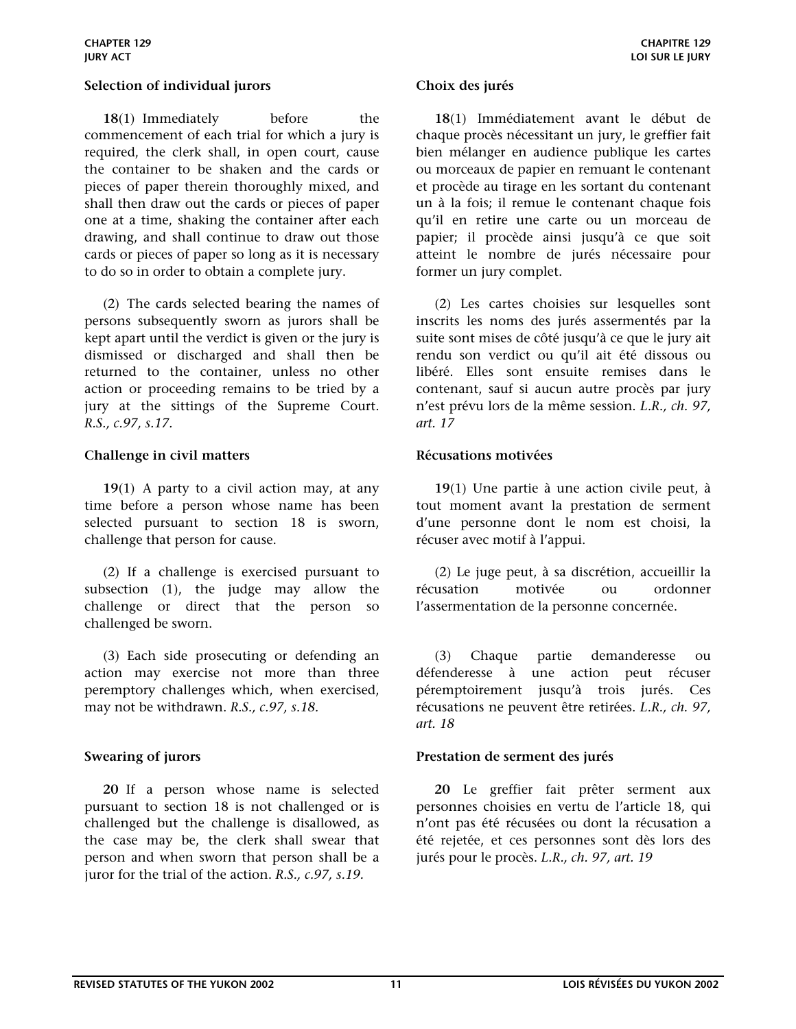### <span id="page-10-0"></span>**Selection of individual jurors Choix des jurés**

**18**(1) Immediately before the commencement of each trial for which a jury is required, the clerk shall, in open court, cause the container to be shaken and the cards or pieces of paper therein thoroughly mixed, and shall then draw out the cards or pieces of paper one at a time, shaking the container after each drawing, and shall continue to draw out those cards or pieces of paper so long as it is necessary to do so in order to obtain a complete jury.

 (2) The cards selected bearing the names of persons subsequently sworn as jurors shall be kept apart until the verdict is given or the jury is dismissed or discharged and shall then be returned to the container, unless no other action or proceeding remains to be tried by a jury at the sittings of the Supreme Court. *R.S., c.97, s.17.*

### <span id="page-10-1"></span>Challenge in civil matters **Récusations** motivées

 **19**(1) A party to a civil action may, at any time before a person whose name has been selected pursuant to section 18 is sworn, challenge that person for cause.

 (2) If a challenge is exercised pursuant to subsection (1), the judge may allow the challenge or direct that the person so challenged be sworn.

 (3) Each side prosecuting or defending an action may exercise not more than three peremptory challenges which, when exercised, may not be withdrawn. *R.S., c.97, s.18.*

 **20** If a person whose name is selected pursuant to section 18 is not challenged or is challenged but the challenge is disallowed, as the case may be, the clerk shall swear that person and when sworn that person shall be a juror for the trial of the action. *R.S., c.97, s.19.*

**18**(1) Immédiatement avant le début de chaque procès nécessitant un jury, le greffier fait bien mélanger en audience publique les cartes ou morceaux de papier en remuant le contenant et procède au tirage en les sortant du contenant un à la fois; il remue le contenant chaque fois qu'il en retire une carte ou un morceau de papier; il procède ainsi jusqu'à ce que soit atteint le nombre de jurés nécessaire pour former un jury complet.

 (2) Les cartes choisies sur lesquelles sont inscrits les noms des jurés assermentés par la suite sont mises de côté jusqu'à ce que le jury ait rendu son verdict ou qu'il ait été dissous ou libéré. Elles sont ensuite remises dans le contenant, sauf si aucun autre procès par jury n'est prévu lors de la même session. *L.R., ch. 97, art. 17*

**19**(1) Une partie à une action civile peut, à tout moment avant la prestation de serment d'une personne dont le nom est choisi, la récuser avec motif à l'appui.

 (2) Le juge peut, à sa discrétion, accueillir la récusation motivée ou ordonner l'assermentation de la personne concernée.

 (3) Chaque partie demanderesse ou défenderesse à une action peut récuser péremptoirement jusqu'à trois jurés. Ces récusations ne peuvent être retirées. *L.R., ch. 97, art. 18*

### <span id="page-10-2"></span>**Swearing of jurors Prestation de serment des jurés**

**20** Le greffier fait prêter serment aux personnes choisies en vertu de l'article 18, qui n'ont pas été récusées ou dont la récusation a été rejetée, et ces personnes sont dès lors des jurés pour le procès. *L.R., ch. 97, art. 19*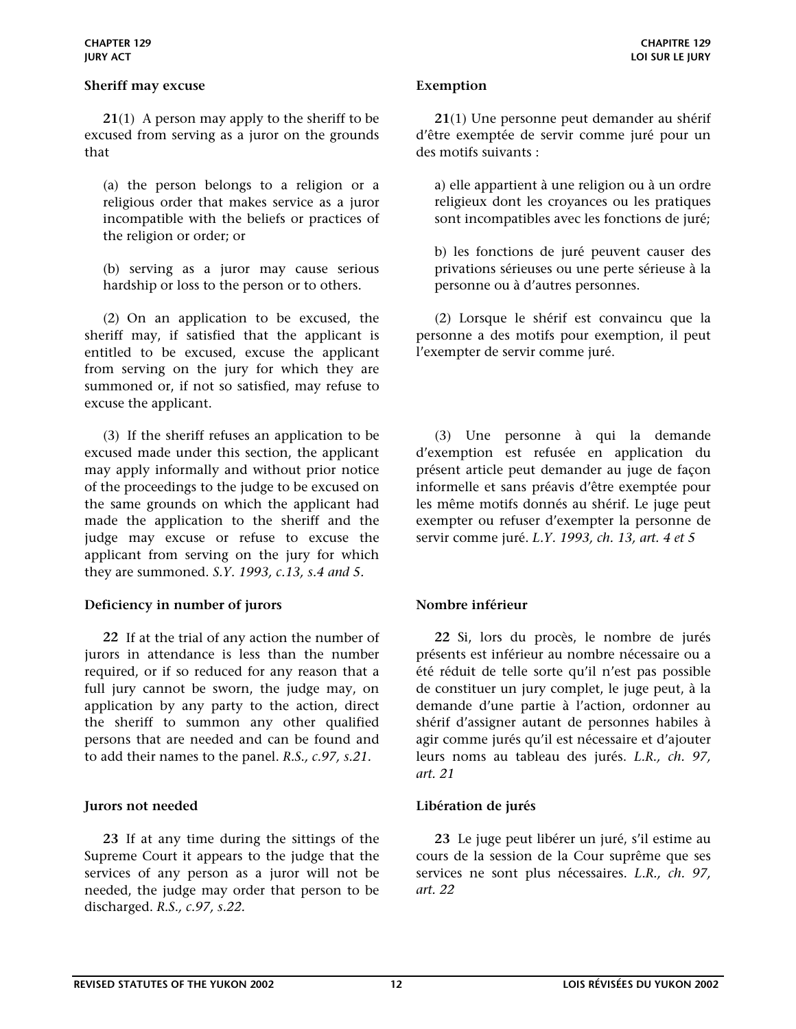### <span id="page-11-0"></span>**Sheriff may excuse** Exemption

 **21**(1) A person may apply to the sheriff to be excused from serving as a juror on the grounds that

(a) the person belongs to a religion or a religious order that makes service as a juror incompatible with the beliefs or practices of the religion or order; or

(b) serving as a juror may cause serious hardship or loss to the person or to others.

 (2) On an application to be excused, the sheriff may, if satisfied that the applicant is entitled to be excused, excuse the applicant from serving on the jury for which they are summoned or, if not so satisfied, may refuse to excuse the applicant.

 (3) If the sheriff refuses an application to be excused made under this section, the applicant may apply informally and without prior notice of the proceedings to the judge to be excused on the same grounds on which the applicant had made the application to the sheriff and the judge may excuse or refuse to excuse the applicant from serving on the jury for which they are summoned. *S.Y. 1993, c.13, s.4 and 5.* 

### <span id="page-11-1"></span>Deficiency in number of jurors Nombre inférieur

 **22** If at the trial of any action the number of jurors in attendance is less than the number required, or if so reduced for any reason that a full jury cannot be sworn, the judge may, on application by any party to the action, direct the sheriff to summon any other qualified persons that are needed and can be found and to add their names to the panel. *R.S., c.97, s.21.*

 **23** If at any time during the sittings of the Supreme Court it appears to the judge that the services of any person as a juror will not be needed, the judge may order that person to be discharged. *R.S., c.97, s.22.*

**21**(1) Une personne peut demander au shérif d'être exemptée de servir comme juré pour un des motifs suivants :

a) elle appartient à une religion ou à un ordre religieux dont les croyances ou les pratiques sont incompatibles avec les fonctions de juré;

b) les fonctions de juré peuvent causer des privations sérieuses ou une perte sérieuse à la personne ou à d'autres personnes.

 (2) Lorsque le shérif est convaincu que la personne a des motifs pour exemption, il peut l'exempter de servir comme juré.

 (3) Une personne à qui la demande d'exemption est refusée en application du présent article peut demander au juge de façon informelle et sans préavis d'être exemptée pour les même motifs donnés au shérif. Le juge peut exempter ou refuser d'exempter la personne de servir comme juré. *L.Y. 1993, ch. 13, art. 4 et 5* 

**22** Si, lors du procès, le nombre de jurés présents est inférieur au nombre nécessaire ou a été réduit de telle sorte qu'il n'est pas possible de constituer un jury complet, le juge peut, à la demande d'une partie à l'action, ordonner au shérif d'assigner autant de personnes habiles à agir comme jurés qu'il est nécessaire et d'ajouter leurs noms au tableau des jurés. *L.R., ch. 97, art. 21*

### <span id="page-11-2"></span>**Jurors not needed Libération de jurés**

**23** Le juge peut libérer un juré, s'il estime au cours de la session de la Cour suprême que ses services ne sont plus nécessaires. *L.R., ch. 97, art. 22*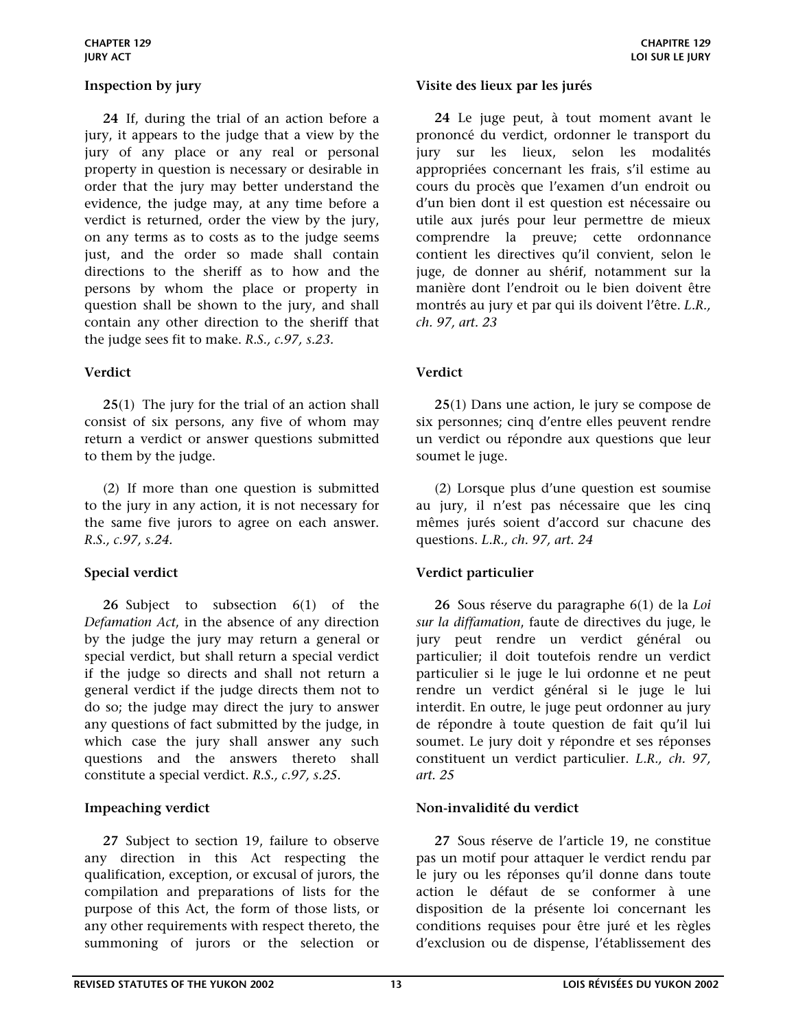**24** If, during the trial of an action before a jury, it appears to the judge that a view by the jury of any place or any real or personal property in question is necessary or desirable in order that the jury may better understand the evidence, the judge may, at any time before a verdict is returned, order the view by the jury, on any terms as to costs as to the judge seems just, and the order so made shall contain directions to the sheriff as to how and the persons by whom the place or property in question shall be shown to the jury, and shall contain any other direction to the sheriff that the judge sees fit to make. *R.S., c.97, s.23.*

# <span id="page-12-1"></span>**Verdict Verdict**

 **25**(1) The jury for the trial of an action shall consist of six persons, any five of whom may return a verdict or answer questions submitted to them by the judge.

 (2) If more than one question is submitted to the jury in any action, it is not necessary for the same five jurors to agree on each answer. *R.S., c.97, s.24.*

 **26** Subject to subsection 6(1) of the *Defamation Act*, in the absence of any direction by the judge the jury may return a general or special verdict, but shall return a special verdict if the judge so directs and shall not return a general verdict if the judge directs them not to do so; the judge may direct the jury to answer any questions of fact submitted by the judge, in which case the jury shall answer any such questions and the answers thereto shall constitute a special verdict. *R.S., c.97, s.25.*

 **27** Subject to section 19, failure to observe any direction in this Act respecting the qualification, exception, or excusal of jurors, the compilation and preparations of lists for the purpose of this Act, the form of those lists, or any other requirements with respect thereto, the summoning of jurors or the selection or

# <span id="page-12-0"></span>**Inspection by jury Visite des lieux par les jurés**

**24** Le juge peut, à tout moment avant le prononcé du verdict, ordonner le transport du jury sur les lieux, selon les modalités appropriées concernant les frais, s'il estime au cours du procès que l'examen d'un endroit ou d'un bien dont il est question est nécessaire ou utile aux jurés pour leur permettre de mieux comprendre la preuve; cette ordonnance contient les directives qu'il convient, selon le juge, de donner au shérif, notamment sur la manière dont l'endroit ou le bien doivent être montrés au jury et par qui ils doivent l'être. *L.R., ch. 97, art. 23*

**25**(1) Dans une action, le jury se compose de six personnes; cinq d'entre elles peuvent rendre un verdict ou répondre aux questions que leur soumet le juge.

 (2) Lorsque plus d'une question est soumise au jury, il n'est pas nécessaire que les cinq mêmes jurés soient d'accord sur chacune des questions. *L.R., ch. 97, art. 24*

# <span id="page-12-2"></span>**Special verdict Verdict particulier**

**26** Sous réserve du paragraphe 6(1) de la *Loi sur la diffamation*, faute de directives du juge, le jury peut rendre un verdict général ou particulier; il doit toutefois rendre un verdict particulier si le juge le lui ordonne et ne peut rendre un verdict général si le juge le lui interdit. En outre, le juge peut ordonner au jury de répondre à toute question de fait qu'il lui soumet. Le jury doit y répondre et ses réponses constituent un verdict particulier. *L.R., ch. 97, art. 25*

# <span id="page-12-3"></span>Impeaching verdict **Non-invalidité du verdict**

**27** Sous réserve de l'article 19, ne constitue pas un motif pour attaquer le verdict rendu par le jury ou les réponses qu'il donne dans toute action le défaut de se conformer à une disposition de la présente loi concernant les conditions requises pour être juré et les règles d'exclusion ou de dispense, l'établissement des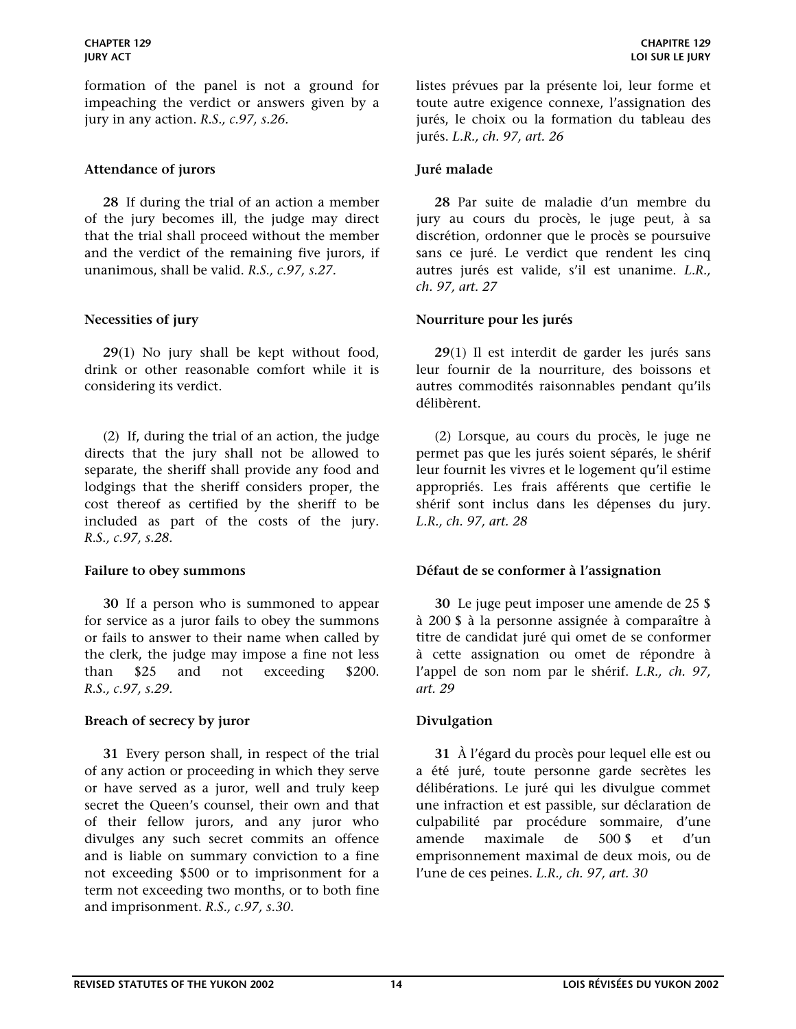formation of the panel is not a ground for impeaching the verdict or answers given by a jury in any action. *R.S., c.97, s.26.*

### <span id="page-13-0"></span>Attendance of jurors **Internal and Attendance of jurors Juré malade**

 **28** If during the trial of an action a member of the jury becomes ill, the judge may direct that the trial shall proceed without the member and the verdict of the remaining five jurors, if unanimous, shall be valid. *R.S., c.97, s.27.*

 **29**(1) No jury shall be kept without food, drink or other reasonable comfort while it is considering its verdict.

 (2) If, during the trial of an action, the judge directs that the jury shall not be allowed to separate, the sheriff shall provide any food and lodgings that the sheriff considers proper, the cost thereof as certified by the sheriff to be included as part of the costs of the jury. *R.S., c.97, s.28.*

 **30** If a person who is summoned to appear for service as a juror fails to obey the summons or fails to answer to their name when called by the clerk, the judge may impose a fine not less than \$25 and not exceeding \$200. *R.S., c.97, s.29.*

# <span id="page-13-3"></span>**Breach of secrecy by juror Divulgation**

 **31** Every person shall, in respect of the trial of any action or proceeding in which they serve or have served as a juror, well and truly keep secret the Queen's counsel, their own and that of their fellow jurors, and any juror who divulges any such secret commits an offence and is liable on summary conviction to a fine not exceeding \$500 or to imprisonment for a term not exceeding two months, or to both fine and imprisonment. *R.S., c.97, s.30.*

listes prévues par la présente loi, leur forme et toute autre exigence connexe, l'assignation des jurés, le choix ou la formation du tableau des jurés. *L.R., ch. 97, art. 26*

**28** Par suite de maladie d'un membre du jury au cours du procès, le juge peut, à sa discrétion, ordonner que le procès se poursuive sans ce juré. Le verdict que rendent les cinq autres jurés est valide, s'il est unanime. *L.R., ch. 97, art. 27*

# <span id="page-13-1"></span>**Necessities of jury Nourriture pour les jurés**

 **29**(1) Il est interdit de garder les jurés sans leur fournir de la nourriture, des boissons et autres commodités raisonnables pendant qu'ils délibèrent.

 (2) Lorsque, au cours du procès, le juge ne permet pas que les jurés soient séparés, le shérif leur fournit les vivres et le logement qu'il estime appropriés. Les frais afférents que certifie le shérif sont inclus dans les dépenses du jury. *L.R., ch. 97, art. 28*

### <span id="page-13-2"></span>**Failure to obey summons Défaut de se conformer à l'assignation**

 **30** Le juge peut imposer une amende de 25 \$ à 200 \$ à la personne assignée à comparaître à titre de candidat juré qui omet de se conformer à cette assignation ou omet de répondre à l'appel de son nom par le shérif. *L.R., ch. 97, art. 29*

 **31** À l'égard du procès pour lequel elle est ou a été juré, toute personne garde secrètes les délibérations. Le juré qui les divulgue commet une infraction et est passible, sur déclaration de culpabilité par procédure sommaire, d'une amende maximale de 500 \$ et d'un emprisonnement maximal de deux mois, ou de l'une de ces peines. *L.R., ch. 97, art. 30*